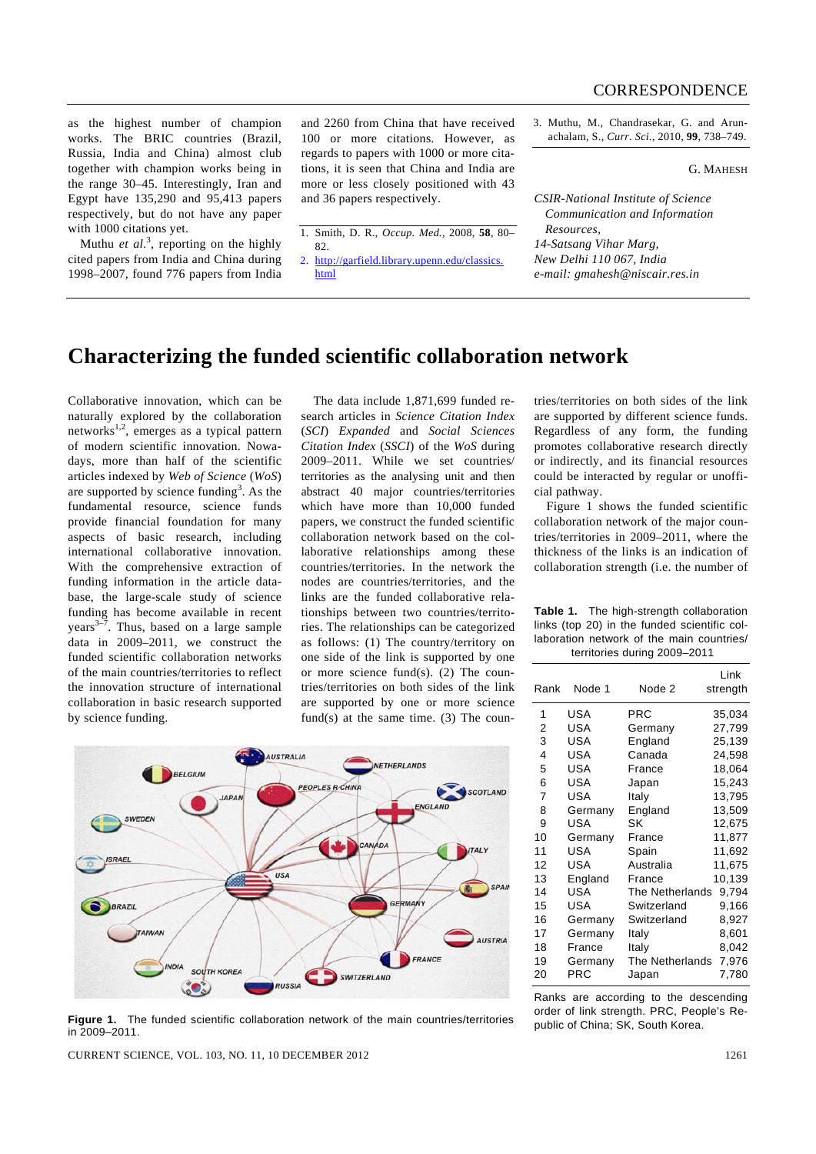as the highest number of champion works. The BRIC countries (Brazil, Russia, India and China) almost club together with champion works being in the range 30–45. Interestingly, Iran and Egypt have 135,290 and 95,413 papers respectively, but do not have any paper with 1000 citations yet.

Muthu *et al.*<sup>3</sup>, reporting on the highly cited papers from India and China during 1998–2007, found 776 papers from India

and 2260 from China that have received 100 or more citations. However, as regards to papers with 1000 or more citations, it is seen that China and India are more or less closely positioned with 43 and 36 papers respectively.

- 1. Smith, D. R., *Occup. Med.*, 2008, **58**, 80– 82.
- 2. http://garfield.library.upenn.edu/classics. html

3. Muthu, M., Chandrasekar, G. and Arunachalam, S., *Curr. Sci.*, 2010, **99**, 738–749.

G. MAHESH

*CSIR-National Institute of Science Communication and Information Resources, 14-Satsang Vihar Marg, New Delhi 110 067, India e-mail: gmahesh@niscair.res.in* 

## **Characterizing the funded scientific collaboration network**

Collaborative innovation, which can be naturally explored by the collaboration networks1,2, emerges as a typical pattern of modern scientific innovation. Nowadays, more than half of the scientific articles indexed by *Web of Science* (*WoS*) are supported by science funding<sup>3</sup>. As the fundamental resource, science funds provide financial foundation for many aspects of basic research, including international collaborative innovation. With the comprehensive extraction of funding information in the article database, the large-scale study of science funding has become available in recent years $3-7$ . Thus, based on a large sample data in 2009–2011, we construct the funded scientific collaboration networks of the main countries/territories to reflect the innovation structure of international collaboration in basic research supported by science funding.

 The data include 1,871,699 funded research articles in *Science Citation Index*  (*SCI*) *Expanded* and *Social Sciences Citation Index* (*SSCI*) of the *WoS* during 2009–2011. While we set countries/ territories as the analysing unit and then abstract 40 major countries/territories which have more than 10,000 funded papers, we construct the funded scientific collaboration network based on the collaborative relationships among these countries/territories. In the network the nodes are countries/territories, and the links are the funded collaborative relationships between two countries/territories. The relationships can be categorized as follows: (1) The country/territory on one side of the link is supported by one or more science fund(s). (2) The countries/territories on both sides of the link are supported by one or more science fund(s) at the same time.  $(3)$  The coun-



public of China; SK, South Korea. **Figure 1.** The funded scientific collaboration network of the main countries/territories in 2009–2011.

CURRENT SCIENCE, VOL. 103, NO. 11, 10 DECEMBER 2012 1261

tries/territories on both sides of the link are supported by different science funds. Regardless of any form, the funding promotes collaborative research directly or indirectly, and its financial resources could be interacted by regular or unofficial pathway.

 Figure 1 shows the funded scientific collaboration network of the major countries/territories in 2009–2011, where the thickness of the links is an indication of collaboration strength (i.e. the number of

|                              | <b>Table 1.</b> The high-strength collaboration |  |  |  |
|------------------------------|-------------------------------------------------|--|--|--|
|                              | links (top 20) in the funded scientific col-    |  |  |  |
|                              | laboration network of the main countries/       |  |  |  |
| territories during 2009-2011 |                                                 |  |  |  |

| Rank | Node 1  | Node 2          | Link<br>strength |
|------|---------|-----------------|------------------|
| 1    | USA     | PRC             | 35,034           |
| 2    | USA     | Germany         | 27,799           |
| 3    | USA     | England         | 25,139           |
| 4    | USA     | Canada          | 24,598           |
| 5    | USA     | France          | 18,064           |
| 6    | USA     | Japan           | 15,243           |
| 7    | USA     | Italy           | 13,795           |
| 8    | Germany | England         | 13,509           |
| 9    | USA     | SK              | 12,675           |
| 10   | Germany | France          | 11,877           |
| 11   | USA     | Spain           | 11,692           |
| 12   | USA     | Australia       | 11,675           |
| 13   | England | France          | 10,139           |
| 14   | USA     | The Netherlands | 9,794            |
| 15   | USA     | Switzerland     | 9,166            |
| 16   | Germany | Switzerland     | 8,927            |
| 17   | Germany | Italy           | 8,601            |
| 18   | France  | Italy           | 8,042            |
| 19   | Germany | The Netherlands | 7,976            |
| 20   | PRC     | Japan           | 7,780            |

Ranks are according to the descending order of link strength. PRC, People's Re-